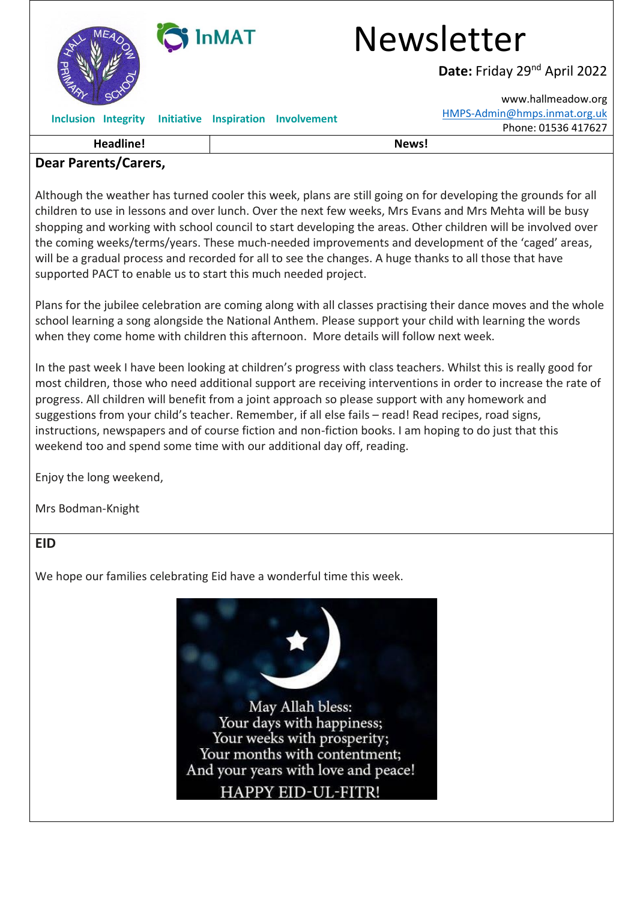

## **Dear Parents/Carers,**

Although the weather has turned cooler this week, plans are still going on for developing the grounds for all children to use in lessons and over lunch. Over the next few weeks, Mrs Evans and Mrs Mehta will be busy shopping and working with school council to start developing the areas. Other children will be involved over the coming weeks/terms/years. These much-needed improvements and development of the 'caged' areas, will be a gradual process and recorded for all to see the changes. A huge thanks to all those that have supported PACT to enable us to start this much needed project.

Plans for the jubilee celebration are coming along with all classes practising their dance moves and the whole school learning a song alongside the National Anthem. Please support your child with learning the words when they come home with children this afternoon. More details will follow next week.

In the past week I have been looking at children's progress with class teachers. Whilst this is really good for most children, those who need additional support are receiving interventions in order to increase the rate of progress. All children will benefit from a joint approach so please support with any homework and suggestions from your child's teacher. Remember, if all else fails – read! Read recipes, road signs, instructions, newspapers and of course fiction and non-fiction books. I am hoping to do just that this weekend too and spend some time with our additional day off, reading.

Enjoy the long weekend,

Mrs Bodman-Knight

#### **EID**

We hope our families celebrating Eid have a wonderful time this week.

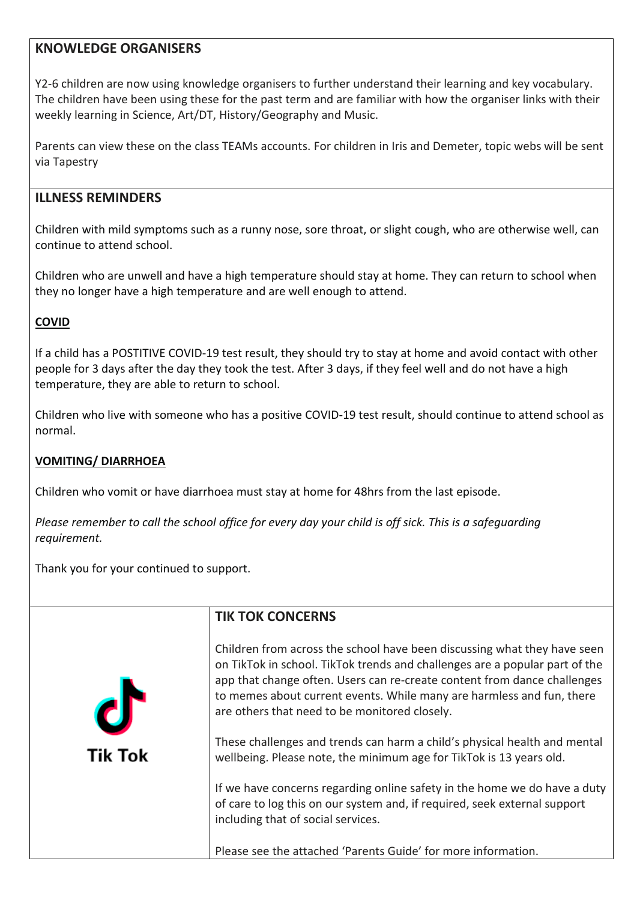#### **KNOWLEDGE ORGANISERS**

Y2-6 children are now using knowledge organisers to further understand their learning and key vocabulary. The children have been using these for the past term and are familiar with how the organiser links with their weekly learning in Science, Art/DT, History/Geography and Music.

Parents can view these on the class TEAMs accounts. For children in Iris and Demeter, topic webs will be sent via Tapestry

#### **ILLNESS REMINDERS**

Children with mild symptoms such as a runny nose, sore throat, or slight cough, who are otherwise well, can continue to attend school.

Children who are unwell and have a high temperature should stay at home. They can return to school when they no longer have a high temperature and are well enough to attend.

#### **COVID**

If a child has a POSTITIVE COVID-19 test result, they should try to stay at home and avoid contact with other people for 3 days after the day they took the test. After 3 days, if they feel well and do not have a high temperature, they are able to return to school.

Children who live with someone who has a positive COVID-19 test result, should continue to attend school as normal.

#### **VOMITING/ DIARRHOEA**

Children who vomit or have diarrhoea must stay at home for 48hrs from the last episode.

Please remember to call the school office for every day your child is off sick. This is a safequarding *requirement.*

Thank you for your continued to support.

**Tik Tok** 

# **TIK TOK CONCERNS**

Children from across the school have been discussing what they have seen on TikTok in school. TikTok trends and challenges are a popular part of the app that change often. Users can re-create content from dance challenges to memes about current events. While many are harmless and fun, there are others that need to be monitored closely.

These challenges and trends can harm a child's physical health and mental wellbeing. Please note, the minimum age for TikTok is 13 years old.

If we have concerns regarding online safety in the home we do have a duty of care to log this on our system and, if required, seek external support including that of social services.

Please see the attached 'Parents Guide' for more information.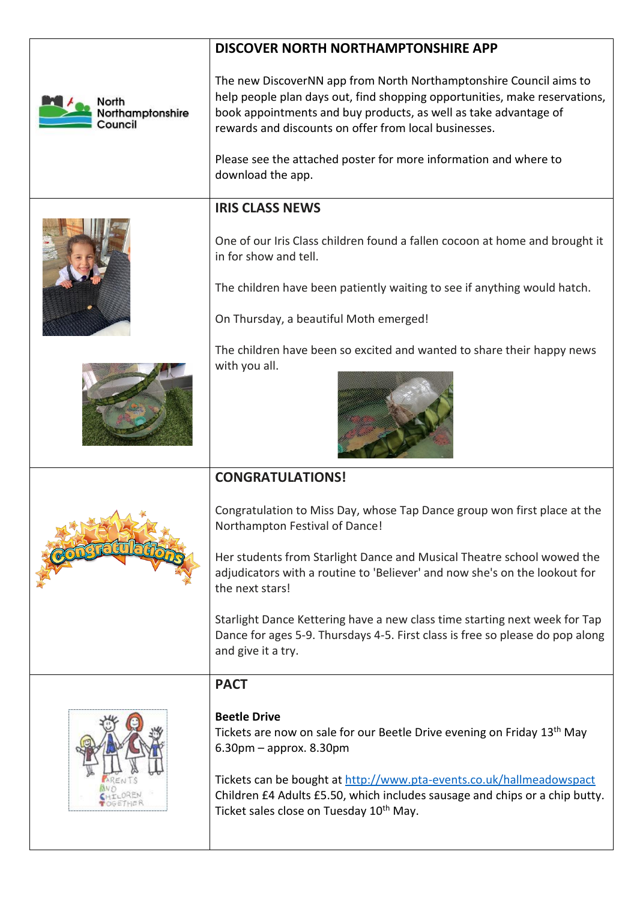|                                      | DISCOVER NORTH NORTHAMPTONSHIRE APP                                                                                                                                                                                                                                                                                                                                    |
|--------------------------------------|------------------------------------------------------------------------------------------------------------------------------------------------------------------------------------------------------------------------------------------------------------------------------------------------------------------------------------------------------------------------|
| North<br>Northamptonshire<br>Council | The new DiscoverNN app from North Northamptonshire Council aims to<br>help people plan days out, find shopping opportunities, make reservations,<br>book appointments and buy products, as well as take advantage of<br>rewards and discounts on offer from local businesses.<br>Please see the attached poster for more information and where to<br>download the app. |
|                                      |                                                                                                                                                                                                                                                                                                                                                                        |
|                                      | <b>IRIS CLASS NEWS</b>                                                                                                                                                                                                                                                                                                                                                 |
|                                      | One of our Iris Class children found a fallen cocoon at home and brought it<br>in for show and tell.<br>The children have been patiently waiting to see if anything would hatch.                                                                                                                                                                                       |
|                                      | On Thursday, a beautiful Moth emerged!                                                                                                                                                                                                                                                                                                                                 |
|                                      |                                                                                                                                                                                                                                                                                                                                                                        |
|                                      | The children have been so excited and wanted to share their happy news<br>with you all.                                                                                                                                                                                                                                                                                |
|                                      | <b>CONGRATULATIONS!</b>                                                                                                                                                                                                                                                                                                                                                |
|                                      | Congratulation to Miss Day, whose Tap Dance group won first place at the<br>Northampton Festival of Dance!                                                                                                                                                                                                                                                             |

Her students from Starlight Dance and Musical Theatre school wowed the adjudicators with a routine to 'Believer' and now she's on the lookout for the next stars!

Starlight Dance Kettering have a new class time starting next week for Tap Dance for ages 5-9. Thursdays 4-5. First class is free so please do pop along and give it a try.

# **PACT**



## **Beetle Drive**

Tickets are now on sale for our Beetle Drive evening on Friday 13th May 6.30pm – approx. 8.30pm

Tickets can be bought at <http://www.pta-events.co.uk/hallmeadowspact> Children £4 Adults £5.50, which includes sausage and chips or a chip butty. Ticket sales close on Tuesday 10<sup>th</sup> May.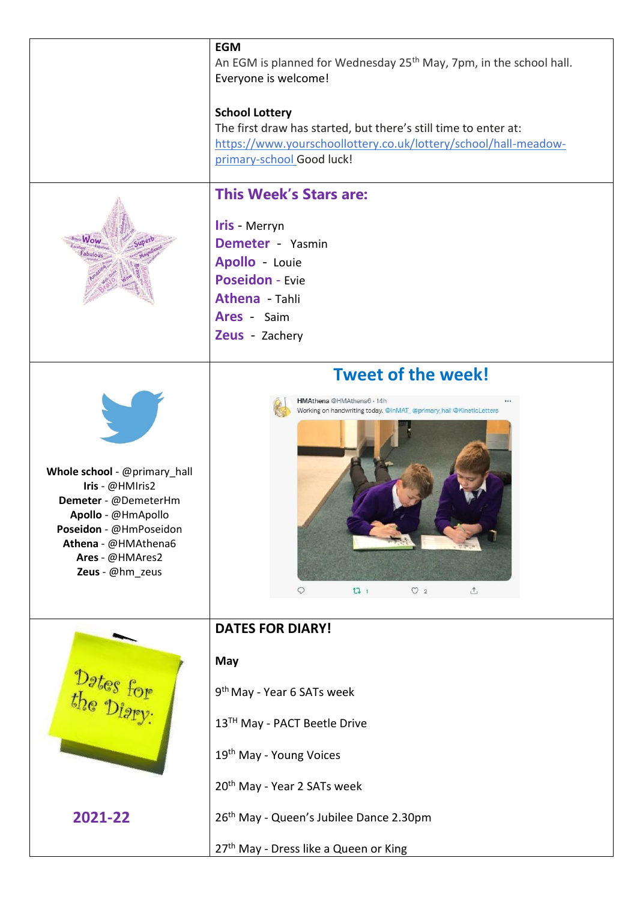|                                                                                                                                                                                      | <b>EGM</b><br>An EGM is planned for Wednesday 25 <sup>th</sup> May, 7pm, in the school hall.<br>Everyone is welcome!<br><b>School Lottery</b><br>The first draw has started, but there's still time to enter at:<br>https://www.yourschoollottery.co.uk/lottery/school/hall-meadow- |
|--------------------------------------------------------------------------------------------------------------------------------------------------------------------------------------|-------------------------------------------------------------------------------------------------------------------------------------------------------------------------------------------------------------------------------------------------------------------------------------|
|                                                                                                                                                                                      | primary-school Good luck!                                                                                                                                                                                                                                                           |
| Vou                                                                                                                                                                                  | <b>This Week's Stars are:</b><br>Iris - Merryn<br><b>Demeter</b> - Yasmin<br>Apollo - Louie<br><b>Poseidon - Evie</b><br>Athena - Tahli<br>Ares - Saim<br>Zeus - Zachery                                                                                                            |
| Whole school - @primary_hall<br>Iris - @HMIris2<br>Demeter - @DemeterHm<br>Apollo - @HmApollo<br>Poseidon - @HmPoseidon<br>Athena - @HMAthena6<br>Ares - @HMAres2<br>Zeus - @hm_zeus | <b>Tweet of the week!</b><br>HMAthena @HMAthena6 · 14h<br>Working on handwriting today. @InMAT_@primary_hall @KineticLetters<br>$\heartsuit$ 2<br>$\hat{\mathbb{C}}$<br>131<br>Q                                                                                                    |
|                                                                                                                                                                                      | <b>DATES FOR DIARY!</b>                                                                                                                                                                                                                                                             |
| Dates for                                                                                                                                                                            | May<br>9 <sup>th</sup> May - Year 6 SATs week                                                                                                                                                                                                                                       |
|                                                                                                                                                                                      | 13 <sup>TH</sup> May - PACT Beetle Drive                                                                                                                                                                                                                                            |
|                                                                                                                                                                                      | 19 <sup>th</sup> May - Young Voices                                                                                                                                                                                                                                                 |
|                                                                                                                                                                                      | 20 <sup>th</sup> May - Year 2 SATs week                                                                                                                                                                                                                                             |
| 2021-22                                                                                                                                                                              | 26 <sup>th</sup> May - Queen's Jubilee Dance 2.30pm                                                                                                                                                                                                                                 |
|                                                                                                                                                                                      | 27 <sup>th</sup> May - Dress like a Queen or King                                                                                                                                                                                                                                   |